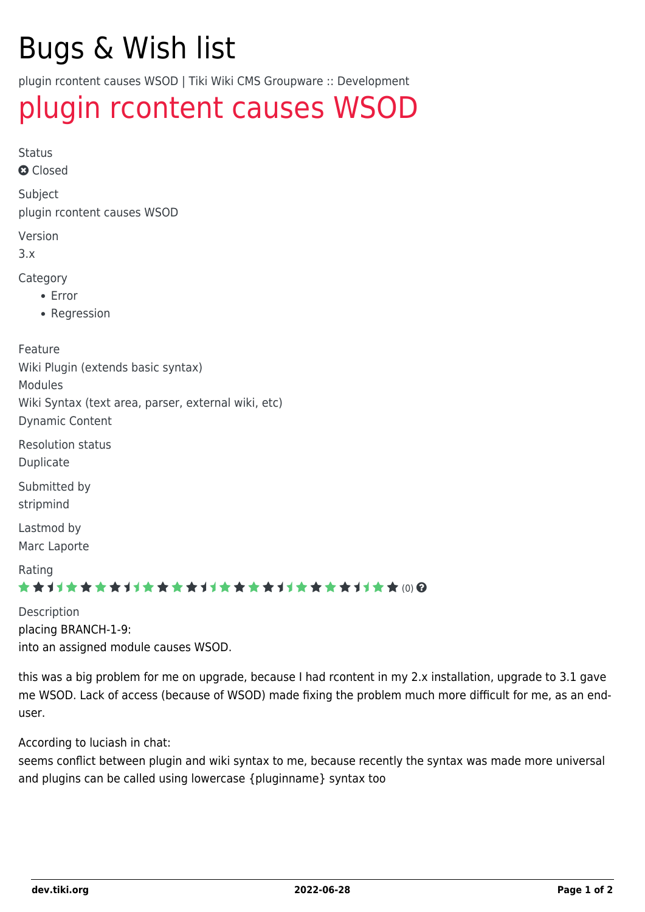# Bugs & Wish list

plugin rcontent causes WSOD | Tiki Wiki CMS Groupware :: Development

## [plugin rcontent causes WSOD](https://dev.tiki.org/item2799-plugin-rcontent-causes-WSOD)

Status

**Q** Closed

Subject plugin rcontent causes WSOD

Version

3.x

Category

- Error
- Regression

Feature Wiki Plugin (extends basic syntax) Modules Wiki Syntax (text area, parser, external wiki, etc) Dynamic Content

Resolution status Duplicate

Submitted by stripmind

Lastmod by Marc Laporte

Rating

#### \*\*\*\*\*\*\*\*\*\*\*\*\*\*\*\*\*\*\*\*\*\*\*\*\*\*\*\*\*\*

Description placing BRANCH-1-9: into an assigned module causes WSOD.

this was a big problem for me on upgrade, because I had rcontent in my 2.x installation, upgrade to 3.1 gave me WSOD. Lack of access (because of WSOD) made fixing the problem much more difficult for me, as an enduser.

According to luciash in chat:

seems conflict between plugin and wiki syntax to me, because recently the syntax was made more universal and plugins can be called using lowercase {pluginname} syntax too